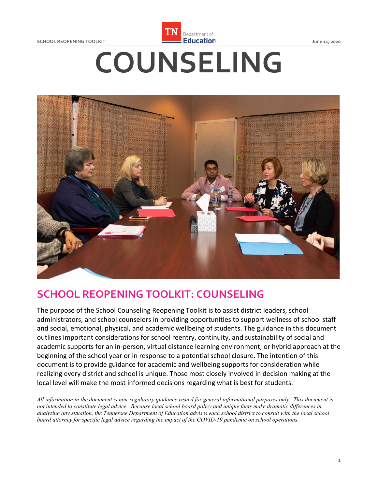**SCHOOL REOPENING TOOLKIT** 



# **Example 11 Separtment of Education CHOOL REOPENING TOOLKIT CONSUMING TOOLKIT COUNSELING**



# **SCHOOL REOPENING TOOLKIT: COUNSELING**

 The purpose of the School Counseling Reopening Toolkit is to assist district leaders, school administrators, and school counselors in providing opportunities to support wellness of school staff and social, emotional, physical, and academic wellbeing of students. The guidance in this document outlines important considerations for school reentry, continuity, and sustainability of social and academic supports for an in-person, virtual distance learning environment, or hybrid approach at the beginning of the school year or in response to a potential school closure. The intention of this document is to provide guidance for academic and wellbeing supports for consideration while realizing every district and school is unique. Those most closely involved in decision making at the local level will make the most informed decisions regarding what is best for students.

 *All information in the document is non-regulatory guidance issued for general informational purposes only. This document is not intended to constitute legal advice. Because local school board policy and unique facts make dramatic differences in analyzing any situation, the Tennessee Department of Education advises each school district to consult with the local school board attorney for specific legal advice regarding the impact of the COVID-19 pandemic on school operations.*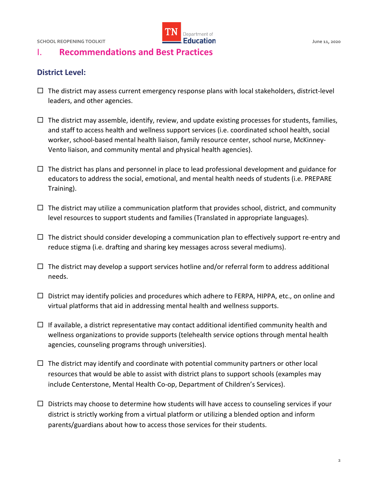

## I. **Recommendations and Best Practices**

#### **District Level:**

- $\Box$  The district may assess current emergency response plans with local stakeholders, district-level leaders, and other agencies.
- $\Box$  The district may assemble, identify, review, and update existing processes for students, families, and staff to access health and wellness support services (i.e. coordinated school health, social worker, school-based mental health liaison, family resource center, school nurse, McKinney-Vento liaison, and community mental and physical health agencies).
- $\Box$  The district has plans and personnel in place to lead professional development and guidance for educators to address the social, emotional, and mental health needs of students (i.e. PREPARE Training).
- $\Box$  The district may utilize a communication platform that provides school, district, and community level resources to support students and families (Translated in appropriate languages).
- $\Box$  The district should consider developing a communication plan to effectively support re-entry and reduce stigma (i.e. drafting and sharing key messages across several mediums).
- $\Box$  The district may develop a support services hotline and/or referral form to address additional needs.
- $\Box$  District may identify policies and procedures which adhere to FERPA, HIPPA, etc., on online and virtual platforms that aid in addressing mental health and wellness supports.
- wellness organizations to provide supports (telehealth service options through mental health  $\Box$  If available, a district representative may contact additional identified community health and agencies, counseling programs through universities).
- $\Box$  The district may identify and coordinate with potential community partners or other local resources that would be able to assist with district plans to support schools (examples may include Centerstone, Mental Health Co-op, Department of Children's Services).
- $\Box$  Districts may choose to determine how students will have access to counseling services if your district is strictly working from a virtual platform or utilizing a blended option and inform parents/guardians about how to access those services for their students.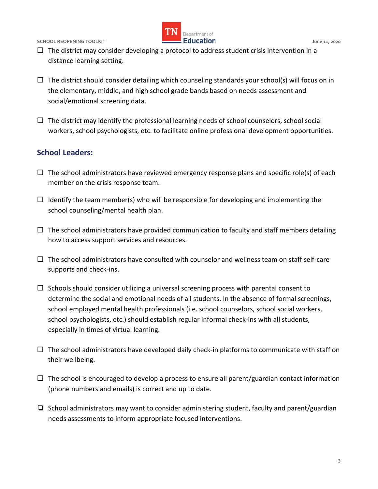

- $\Box$  The district may consider developing a protocol to address student crisis intervention in a distance learning setting.
- $\Box$  The district should consider detailing which counseling standards your school(s) will focus on in the elementary, middle, and high school grade bands based on needs assessment and social/emotional screening data.
- $\Box$  The district may identify the professional learning needs of school counselors, school social workers, school psychologists, etc. to facilitate online professional development opportunities.

#### **School Leaders:**

- $\Box$  The school administrators have reviewed emergency response plans and specific role(s) of each member on the crisis response team.
- $\Box$  Identify the team member(s) who will be responsible for developing and implementing the school counseling/mental health plan.
- $\Box$  The school administrators have provided communication to faculty and staff members detailing how to access support services and resources.
- $\Box$  The school administrators have consulted with counselor and wellness team on staff self-care supports and check-ins.
- $\Box$  Schools should consider utilizing a universal screening process with parental consent to determine the social and emotional needs of all students. In the absence of formal screenings, school employed mental health professionals (i.e. school counselors, school social workers, school psychologists, etc.) should establish regular informal check-ins with all students, especially in times of virtual learning.
- $\Box$  The school administrators have developed daily check-in platforms to communicate with staff on their wellbeing.
- $\Box$  The school is encouraged to develop a process to ensure all parent/guardian contact information (phone numbers and emails) is correct and up to date.
- ❏ School administrators may want to consider administering student, faculty and parent/guardian needs assessments to inform appropriate focused interventions.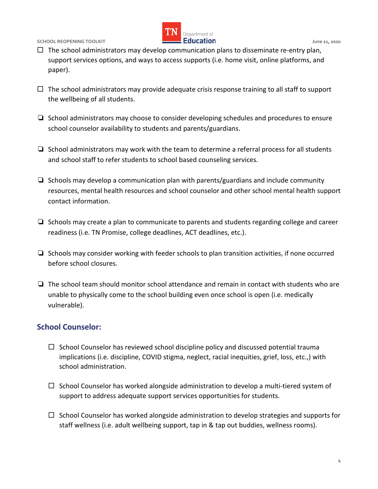

- support services options, and ways to access supports (i.e. home visit, online platforms, and  $\Box$  The school administrators may develop communication plans to disseminate re-entry plan, paper).
- $\Box$  The school administrators may provide adequate crisis response training to all staff to support the wellbeing of all students.
- ❏ School administrators may choose to consider developing schedules and procedures to ensure school counselor availability to students and parents/guardians.
- ❏ School administrators may work with the team to determine a referral process for all students and school staff to refer students to school based counseling services.
- ❏ Schools may develop a communication plan with parents/guardians and include community resources, mental health resources and school counselor and other school mental health support contact information.
- ❏ Schools may create a plan to communicate to parents and students regarding college and career readiness (i.e. TN Promise, college deadlines, ACT deadlines, etc.).
- ❏ Schools may consider working with feeder schools to plan transition activities, if none occurred before school closures.
- ❏ The school team should monitor school attendance and remain in contact with students who are unable to physically come to the school building even once school is open (i.e. medically vulnerable).

#### **School Counselor:**

- $\Box$  School Counselor has reviewed school discipline policy and discussed potential trauma implications (i.e. discipline, COVID stigma, neglect, racial inequities, grief, loss, etc.,) with school administration.
- $\Box$  School Counselor has worked alongside administration to develop a multi-tiered system of support to address adequate support services opportunities for students.
- $\Box$  School Counselor has worked alongside administration to develop strategies and supports for staff wellness (i.e. adult wellbeing support, tap in & tap out buddies, wellness rooms).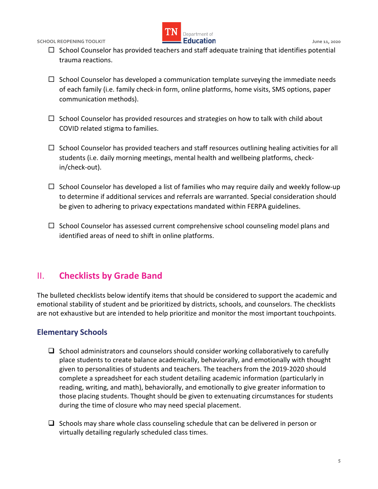

- $\Box$  School Counselor has provided teachers and staff adequate training that identifies potential trauma reactions.
- $\Box$  School Counselor has developed a communication template surveying the immediate needs of each family (i.e. family check-in form, online platforms, home visits, SMS options, paper communication methods).
- $\Box$  School Counselor has provided resources and strategies on how to talk with child about COVID related stigma to families.
- $\Box$  School Counselor has provided teachers and staff resources outlining healing activities for all students (i.e. daily morning meetings, mental health and wellbeing platforms, checkin/check-out).
- $\Box$  School Counselor has developed a list of families who may require daily and weekly follow-up be given to adhering to privacy expectations mandated within FERPA guidelines. to determine if additional services and referrals are warranted. Special consideration should
- identified areas of need to shift in online platforms.  $\Box$  School Counselor has assessed current comprehensive school counseling model plans and

# II. **Checklists by Grade Band**

 The bulleted checklists below identify items that should be considered to support the academic and emotional stability of student and be prioritized by districts, schools, and counselors. The checklists are not exhaustive but are intended to help prioritize and monitor the most important touchpoints.

### **Elementary Schools**

- place students to create balance academically, behaviorally, and emotionally with thought  $\Box$  School administrators and counselors should consider working collaboratively to carefully given to personalities of students and teachers. The teachers from the 2019-2020 should complete a spreadsheet for each student detailing academic information (particularly in reading, writing, and math), behaviorally, and emotionally to give greater information to those placing students. Thought should be given to extenuating circumstances for students during the time of closure who may need special placement.
- $\Box$  Schools may share whole class counseling schedule that can be delivered in person or virtually detailing regularly scheduled class times.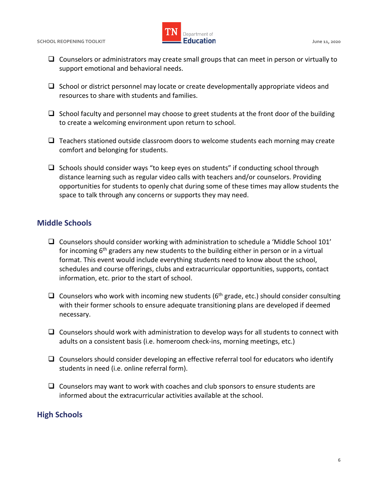

- $\Box$  Counselors or administrators may create small groups that can meet in person or virtually to support emotional and behavioral needs.
- $\Box$  School or district personnel may locate or create developmentally appropriate videos and resources to share with students and families.
- $\Box$  School faculty and personnel may choose to greet students at the front door of the building to create a welcoming environment upon return to school.
- $\Box$  Teachers stationed outside classroom doors to welcome students each morning may create comfort and belonging for students.
- $\Box$  Schools should consider ways "to keep eyes on students" if conducting school through distance learning such as regular video calls with teachers and/or counselors. Providing opportunities for students to openly chat during some of these times may allow students the space to talk through any concerns or supports they may need.

#### **Middle Schools**

- for incoming 6<sup>th</sup> graders any new students to the building either in person or in a virtual information, etc. prior to the start of school.  $\Box$  Counselors should consider working with administration to schedule a 'Middle School 101' format. This event would include everything students need to know about the school, schedules and course offerings, clubs and extracurricular opportunities, supports, contact
- $\Box$  Counselors who work with incoming new students (6<sup>th</sup> grade, etc.) should consider consulting with their former schools to ensure adequate transitioning plans are developed if deemed necessary.
- adults on a consistent basis (i.e. homeroom check-ins, morning meetings, etc.)  $\Box$  Counselors should work with administration to develop ways for all students to connect with
- students in need (i.e. online referral form).  $\Box$  Counselors should consider developing an effective referral tool for educators who identify
- $\Box$  Counselors may want to work with coaches and club sponsors to ensure students are informed about the extracurricular activities available at the school.

#### **High Schools**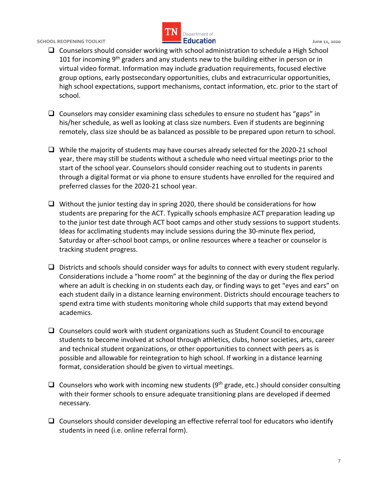

- high school expectations, support mechanisms, contact information, etc. prior to the start of  $\Box$  Counselors should consider working with school administration to schedule a High School 101 for incoming 9<sup>th</sup> graders and any students new to the building either in person or in virtual video format. Information may include graduation requirements, focused elective group options, early postsecondary opportunities, clubs and extracurricular opportunities, school.
- his/her schedule, as well as looking at class size numbers. Even if students are beginning remotely, class size should be as balanced as possible to be prepared upon return to school.  $\Box$  Counselors may consider examining class schedules to ensure no student has "gaps" in
- year, there may still be students without a schedule who need virtual meetings prior to the start of the school year. Counselors should consider reaching out to students in parents through a digital format or via phone to ensure students have enrolled for the required and  $\Box$  While the majority of students may have courses already selected for the 2020-21 school preferred classes for the 2020-21 school year.
- $\Box$  Without the junior testing day in spring 2020, there should be considerations for how Ideas for acclimating students may include sessions during the 30-minute flex period, students are preparing for the ACT. Typically schools emphasize ACT preparation leading up to the junior test date through ACT boot camps and other study sessions to support students. Saturday or after-school boot camps, or online resources where a teacher or counselor is tracking student progress.
- each student daily in a distance learning environment. Districts should encourage teachers to  $\Box$  Districts and schools should consider ways for adults to connect with every student regularly. Considerations include a "home room" at the beginning of the day or during the flex period where an adult is checking in on students each day, or finding ways to get "eyes and ears" on spend extra time with students monitoring whole child supports that may extend beyond academics.
- and technical student organizations, or other opportunities to connect with peers as is possible and allowable for reintegration to high school. If working in a distance learning  $\Box$  Counselors could work with student organizations such as Student Council to encourage students to become involved at school through athletics, clubs, honor societies, arts, career format, consideration should be given to virtual meetings.
- $\Box$  Counselors who work with incoming new students (9<sup>th</sup> grade, etc.) should consider consulting with their former schools to ensure adequate transitioning plans are developed if deemed necessary.
- $\Box$  Counselors should consider developing an effective referral tool for educators who identify students in need (i.e. online referral form).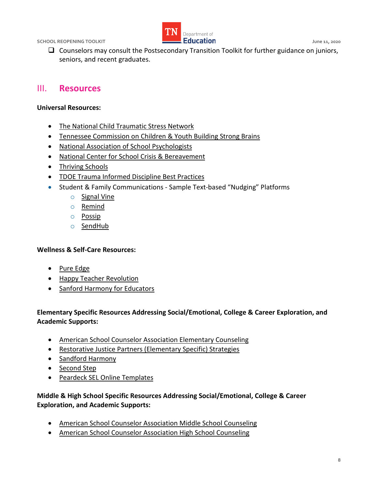

 $\Box$  Counselors may consult the Postsecondary Transition Toolkit for further guidance on juniors, seniors, and recent graduates.

#### III. **Resources**

#### **Universal Resources:**

- [The National Child Traumatic Stress Network](https://www.nctsn.org/resources/addressing-race-and-trauma-classroom-resource-educators)
- [Tennessee Commission on Children & Youth Building Strong Brains](https://www.tn.gov/content/dam/tn/dcs/documents/health/aces/building-strong-brains-tn/Building%20a%20Trauma%20Informed%20System%20of%20Care%20Toolkit.pdf)
- [National Association of School Psychologists](https://www.nasponline.org/resources-and-publications/resources-and-podcasts/covid-19-resource-center/crisis-and-mental-health-resources)
- [National Center for School Crisis & Bereavement](https://www.schoolcrisiscenter.org/resources/teacher-training-modules/)
- Thriving Schools
- TDOE Trauma Informed Discipline Best Practices
- Student & Family Communications Sample Text-based "Nudging" Platforms
	- o [Signal Vine](https://www.signalvine.com/)
	- o [Remind](https://www.remind.com/)
	- o [Possip](https://possip.com/)
	- o [SendHub](https://www.sendhub.com/text-messaging-service-for-schools/)

#### **Wellness & Self-Care Resources:**

- Pure Edge
- [Happy Teacher Revolution](https://www.happyteacherrevolution.com/)
- [Sanford Harmony for Educators](https://www.sanfordharmony.org/event/filling-your-cup-comprehensive-self-care-strategies-for-the-educator/)

#### **Elementary Specific Resources Addressing Social/Emotional, College & Career Exploration, and Academic Supports:**

- [American School Counselor Association Elementary Counseling](https://www.schoolcounselor.org/school-counselors/professional-development/learn-more/virtual-elementary-school-counseling)
- [Restorative Justice Partners \(Elementary Specific\) Strategies](https://www.restorativejusticepartners.org/uploads/1/1/3/8/113806525/effective_communication_with_younger_children.pdf)
- [Sandford Harmony](https://www.sanfordharmony.org/)
- [Second Step](https://www.secondstep.org/covid19support)
- [Peardeck SEL Online Templates](https://www.peardeck.com/sel-templates)

#### **Middle & High School Specific Resources Addressing Social/Emotional, College & Career Exploration, and Academic Supports:**

- [American School Counselor Association Middle School Counseling](https://www.schoolcounselor.org/school-counselors/professional-development/learn-more/virtual-middle-school-counseling)
- [American School Counselor Association High School Counseling](https://www.schoolcounselor.org/school-counselors/professional-development/learn-more/virtual-high-school-counseling)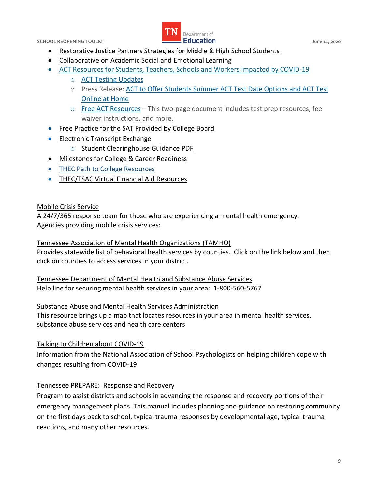

- [Restorative Justice Partners Strategies for Middle & High School Students](https://www.restorativejusticepartners.org/uploads/1/1/3/8/113806525/effective_communication_with_older_children.pdf)
- [Collaborative on Academic Social and Emotional Learning](https://casel.org/wp-content/uploads/2020/05/CASEL_Leveraging-SEL-as-You-Prepare-to-Reopen-and-Renew.pdf)
- [ACT Resources for Students, Teachers, Schools and Workers Impacted by COVID-19](https://www.act.org/content/act/en/covid19.html) 
	- o [ACT Testing Updates](https://www.act.org/content/act/en/covid-19.html)
	- o Press Release: [ACT to Offer Students Summer ACT Test Date Options and ACT Test](https://cdn.ymaws.com/collegeaccess.site-ym.com/resource/resmgr/blog/covid19/flexiblescheduling_remotepro.pdf)  [Online at Home](https://cdn.ymaws.com/collegeaccess.site-ym.com/resource/resmgr/blog/covid19/flexiblescheduling_remotepro.pdf)
	- o [Free ACT Resources](https://cdn.ymaws.com/collegeaccess.site-ym.com/resource/resmgr/blog/covid19/free_act_resources.pdf)  This two-page document includes test prep resources, fee waiver instructions, and more.
- [Free Practice for the SAT Provided by College Board](https://collegereadiness.collegeboard.org/sat/practice)
- **Electronic Transcript Exchange** 
	- o [Student Clearinghouse Guidance PDF](https://studentclearinghouse.info/onestop/wp-content/uploads/TNTCBriefingPaper.pdf)
- [Milestones for College & Career Readiness](https://www.tn.gov/content/dam/tn/education/ccte/ccte_sr_milestones_student_knowledge_actions.PDF)
- [THEC Path to College](https://www.collegefortn.org/open/pathtocollege) Resources
- [THEC/TSAC Virtual Financial Aid Resources](https://www.tn.gov/thec/covid-19-campus-information.html)

#### [Mobile Crisis Service](https://www.tn.gov/behavioral-health/need-help/crisis-services/mental-health-crisis-services/mobile-crisis-services.html)

 A 24/7/365 response team for those who are experiencing a mental health emergency. Agencies providing mobile crisis services:

#### [Tennessee Association of Mental Health Organizations \(TAMHO\)](https://www.tamho.org/#services)

 Provides statewide list of behavioral health services by counties. Click on the link below and then click on counties to access services in your district.

 [Tennessee Department of Mental Health and Substance Abuse Services](https://www.tn.gov/behavioral-health/children-youth-young-adults-families.html)  Help line for securing mental health services in your area: 1-800-560-5767

#### [Substance Abuse and Mental Health Services Administration](https://findtreatment.samhsa.gov/locator?sAddr=37205&submit=Go--)

 This resource brings up a map that locates resources in your area in mental health services, substance abuse services and health care centers

#### [Talking to Children about COVID-19](https://www.nasponline.org/resources-and-publications/resources-and-podcasts/school-climate-safety-and-crisis/health-crisis-resources/talking-to-children-about-covid-19-(coronavirus)-a-parent-resource)

 Information from the National Association of School Psychologists on helping children cope with changes resulting from COVID-19

#### [Tennessee PREPARE: Response and Recovery](https://www.tn.gov/content/dam/tn/education/safety/safe_sch/prepare_manual.pdf)

 Program to assist districts and schools in advancing the response and recovery portions of their emergency management plans. This manual includes planning and guidance on restoring community on the first days back to school, typical trauma responses by developmental age, typical trauma reactions, and many other resources.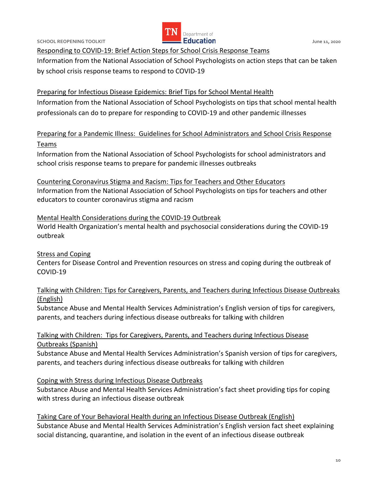

[Responding to COVID-19: Brief Action Steps for School Crisis Response Teams](https://www.nasponline.org/resources-and-publications/resources-and-podcasts/school-climate-safety-and-crisis/health-crisis-resources/responding-to-covid-19brief-action-steps-for-school-crisis-response-teams) 

 Information from the National Association of School Psychologists on action steps that can be taken by school crisis response teams to respond to COVID-19

 [Preparing for Infectious Disease Epidemics: Brief Tips for School Mental Health](https://www.nasponline.org/resources-and-publications/resources-and-podcasts/school-climate-safety-and-crisis/health-crisis-resources/preparing-for-infectious-disease-epidemics-brief-tips-for-school-mental-health-professionals)  Information from the National Association of School Psychologists on tips that school mental health professionals can do to prepare for responding to COVID-19 and other pandemic illnesses

 [Preparing for a Pandemic Illness: Guidelines for School Administrators and School Crisis Response](https://www.nasponline.org/resources-and-publications/resources-and-podcasts/school-climate-safety-and-crisis/health-crisis-resources/preparing-for-a-pandemic-illness-guidelines-for-school-administrators-and-school-crisis-response-teams)  [Teams](https://www.nasponline.org/resources-and-publications/resources-and-podcasts/school-climate-safety-and-crisis/health-crisis-resources/preparing-for-a-pandemic-illness-guidelines-for-school-administrators-and-school-crisis-response-teams) 

 Information from the National Association of School Psychologists for school administrators and school crisis response teams to prepare for pandemic illnesses outbreaks

 [Countering Coronavirus Stigma and Racism: Tips for Teachers and Other Educators](https://www.nasponline.org/resources-and-publications/resources-and-podcasts/school-climate-safety-and-crisis/health-crisis-resources/countering-coronavirus-stigma-and-racism-tips-for-teachers-and-other-educators)  Information from the National Association of School Psychologists on tips for teachers and other educators to counter coronavirus stigma and racism

 [Mental Health Considerations during the COVID-19 Outbreak](https://www.who.int/docs/default-source/coronaviruse/mental-health-considerations.pdf)  World Health Organization's mental health and psychosocial considerations during the COVID-19 outbreak

**Stress and Coping**  Centers for Disease Control and Prevention resources on stress and coping during the outbreak of COVID-19

 [Talking with Children: Tips for Caregivers, Parents, and Teachers during Infectious Disease Outbreaks](https://store.samhsa.gov/product/Talking-With-Children-Tips-for-Caregivers-Parents-and-Teachers-During-Infectious-Disease-Outbreaks/PEP20-01-01-006)  [\(English\)](https://store.samhsa.gov/product/Talking-With-Children-Tips-for-Caregivers-Parents-and-Teachers-During-Infectious-Disease-Outbreaks/PEP20-01-01-006) 

 Substance Abuse and Mental Health Services Administration's English version of tips for caregivers, parents, and teachers during infectious disease outbreaks for talking with children

#### [Talking with Children: Tips for Caregivers, Parents, and Teachers during Infectious Disease](https://store.samhsa.gov/product/Talking-With-Children-Tips-for-Caregivers-Parents-and-Teachers-During-Infectious-Disease-Outbreaks-Spanish-/SMA14-4886SPANISH)  [Outbreaks \(Spanish\)](https://store.samhsa.gov/product/Talking-With-Children-Tips-for-Caregivers-Parents-and-Teachers-During-Infectious-Disease-Outbreaks-Spanish-/SMA14-4886SPANISH)

 Substance Abuse and Mental Health Services Administration's Spanish version of tips for caregivers, parents, and teachers during infectious disease outbreaks for talking with children

[Coping with Stress during Infectious Disease Outbreaks](https://store.samhsa.gov/product/Coping-with-Stress-During-Infectious-Disease-Outbreaks/sma14-4885) 

 Substance Abuse and Mental Health Services Administration's fact sheet providing tips for coping with stress during an infectious disease outbreak

 [Taking Care of Your Behavioral Health during an Infectious Disease Outbreak \(English\)](https://store.samhsa.gov/product/Taking-Care-of-Your-Behavioral-Health-During-an-Infectious-Disease-Outbreak/sma14-4894)  Substance Abuse and Mental Health Services Administration's English version fact sheet explaining social distancing, quarantine, and isolation in the event of an infectious disease outbreak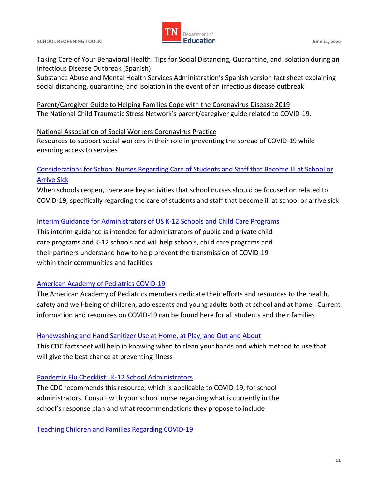

 [Taking Care of Your Behavioral Health: Tips for Social Distancing, Quarantine, and Isolation during an](https://store.samhsa.gov/product/Taking-Care-of-Your-Behavioral-Health-Tips-for-Social-Distancing-Quarantine-and-Isolation-During-an-Infectious-Disease-Outbreak-Spanish-Version-/SMA14-4894SPANISH)  [Infectious Disease Outbreak \(Spanish\)](https://store.samhsa.gov/product/Taking-Care-of-Your-Behavioral-Health-Tips-for-Social-Distancing-Quarantine-and-Isolation-During-an-Infectious-Disease-Outbreak-Spanish-Version-/SMA14-4894SPANISH) 

 Substance Abuse and Mental Health Services Administration's Spanish version fact sheet explaining social distancing, quarantine, and isolation in the event of an infectious disease outbreak

Parent/Caregiver Guide to Helping Families Cope with the Coronavirus Disease 2019 The National Child Traumatic Stress Network's parent/caregiver guide related to COVID-19.

#### [National Association of Social Workers Coronavirus Practice](https://www.socialworkers.org/Practice/Infectious-Diseases/Coronavirus)

 Resources to support social workers in their role in preventing the spread of COVID-19 while ensuring access to services

#### [Considerations for School Nurses Regarding Care of Students and Staff that Become Ill at School or](https://higherlogicdownload.s3.amazonaws.com/NASN/3870c72d-fff9-4ed7-833f-215de278d256/UploadedImages/PDFs/03182020_NASN_Considerations_for_School_Nurses_Regarding_Care_of_Students_and_Staff_that_Become_Ill_at_School_or_Arrive_Sick.pdf)  [Arrive Sick](https://higherlogicdownload.s3.amazonaws.com/NASN/3870c72d-fff9-4ed7-833f-215de278d256/UploadedImages/PDFs/03182020_NASN_Considerations_for_School_Nurses_Regarding_Care_of_Students_and_Staff_that_Become_Ill_at_School_or_Arrive_Sick.pdf)

 When schools reopen, there are key activities that school nurses should be focused on related to COVID-19, specifically regarding the care of students and staff that become ill at school or arrive sick

#### [Interim Guidance for Administrators of US K-12 Schools and Child Care Programs](https://www.cdc.gov/coronavirus/2019-ncov/community/schools-childcare/guidance-for-schools.html)

 This interim guidance is intended for administrators of public and private child care programs and K-12 schools and will help schools, child care programs and their partners understand how to help prevent the transmission of COVID-19 within their communities and facilities

#### **American Academy of Pediatrics COVID-19**

 The American Academy of Pediatrics members dedicate their efforts and resources to the health, safety and well-being of children, adolescents and young adults both at school and at home. Current information and resources on COVID-19 can be found here for all students and their families

#### Handwashing and Hand Sanitizer Use at Home, at Play, and Out and About

 This CDC factsheet will help in knowing when to clean your hands and which method to use that will give the best chance at preventing illness

#### [Pandemic Flu Checklist: K-12 School Administrators](https://www.cdc.gov/nonpharmaceutical-interventions/pdf/pan-flu-checklist-k-12-school-administrators-item2.pdf)

 The CDC recommends this resource, which is applicable to COVID-19, for school administrators. Consult with your school nurse regarding what is currently in the school's response plan and what recommendations they propose to include

[Teaching Children and Families Regarding COVID-19](https://higherlogicdownload.s3.amazonaws.com/NASN/3870c72d-fff9-4ed7-833f-215de278d256/UploadedImages/PDFs/03182020_NASN_Teaching_Children_and_Families_Regarding_COVID-19.pdf)